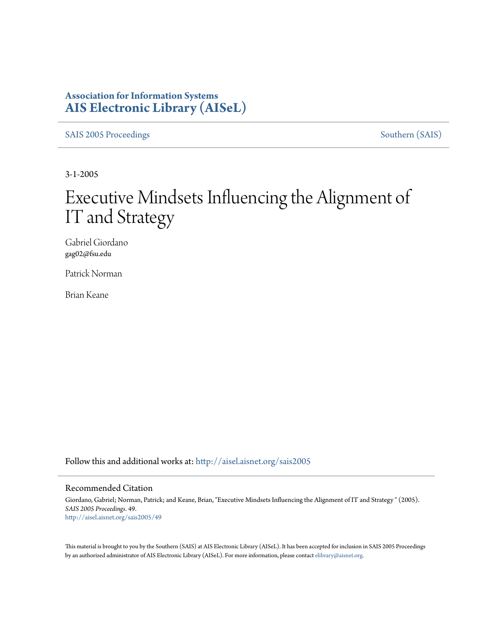#### **Association for Information Systems [AIS Electronic Library \(AISeL\)](http://aisel.aisnet.org?utm_source=aisel.aisnet.org%2Fsais2005%2F49&utm_medium=PDF&utm_campaign=PDFCoverPages)**

[SAIS 2005 Proceedings](http://aisel.aisnet.org/sais2005?utm_source=aisel.aisnet.org%2Fsais2005%2F49&utm_medium=PDF&utm_campaign=PDFCoverPages) [Southern \(SAIS\)](http://aisel.aisnet.org/sais?utm_source=aisel.aisnet.org%2Fsais2005%2F49&utm_medium=PDF&utm_campaign=PDFCoverPages)

3-1-2005

# Executive Mindsets Influencing the Alignment of IT and Strategy

Gabriel Giordano gag02@fsu.edu

Patrick Norman

Brian Keane

Follow this and additional works at: [http://aisel.aisnet.org/sais2005](http://aisel.aisnet.org/sais2005?utm_source=aisel.aisnet.org%2Fsais2005%2F49&utm_medium=PDF&utm_campaign=PDFCoverPages)

#### Recommended Citation

Giordano, Gabriel; Norman, Patrick; and Keane, Brian, "Executive Mindsets Influencing the Alignment of IT and Strategy " (2005). *SAIS 2005 Proceedings*. 49. [http://aisel.aisnet.org/sais2005/49](http://aisel.aisnet.org/sais2005/49?utm_source=aisel.aisnet.org%2Fsais2005%2F49&utm_medium=PDF&utm_campaign=PDFCoverPages)

This material is brought to you by the Southern (SAIS) at AIS Electronic Library (AISeL). It has been accepted for inclusion in SAIS 2005 Proceedings by an authorized administrator of AIS Electronic Library (AISeL). For more information, please contact [elibrary@aisnet.org](mailto:elibrary@aisnet.org%3E).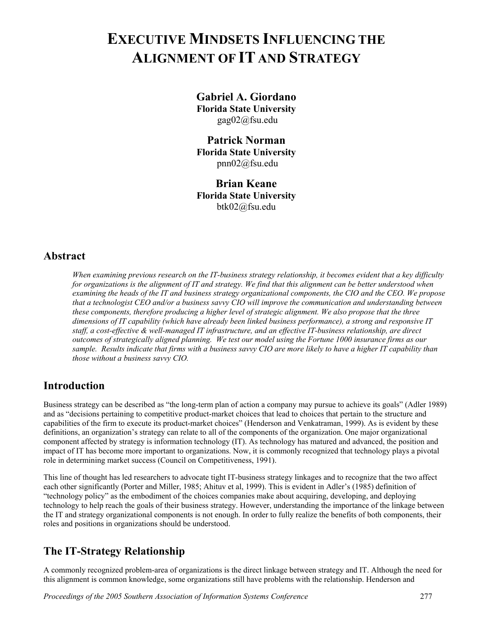## **EXECUTIVE MINDSETS INFLUENCING THE ALIGNMENT OF IT AND STRATEGY**

**Gabriel A. Giordano Florida State University**  gag02@fsu.edu

**Patrick Norman Florida State University**  pnn02@fsu.edu

**Brian Keane Florida State University**  btk02@fsu.edu

#### **Abstract**

*When examining previous research on the IT-business strategy relationship, it becomes evident that a key difficulty for organizations is the alignment of IT and strategy. We find that this alignment can be better understood when examining the heads of the IT and business strategy organizational components, the CIO and the CEO. We propose that a technologist CEO and/or a business savvy CIO will improve the communication and understanding between these components, therefore producing a higher level of strategic alignment. We also propose that the three dimensions of IT capability (which have already been linked business performance), a strong and responsive IT staff, a cost-effective & well-managed IT infrastructure, and an effective IT-business relationship, are direct outcomes of strategically aligned planning. We test our model using the Fortune 1000 insurance firms as our sample. Results indicate that firms with a business savvy CIO are more likely to have a higher IT capability than those without a business savvy CIO.* 

### **Introduction**

Business strategy can be described as "the long-term plan of action a company may pursue to achieve its goals" (Adler 1989) and as "decisions pertaining to competitive product-market choices that lead to choices that pertain to the structure and capabilities of the firm to execute its product-market choices" (Henderson and Venkatraman, 1999). As is evident by these definitions, an organization's strategy can relate to all of the components of the organization. One major organizational component affected by strategy is information technology (IT). As technology has matured and advanced, the position and impact of IT has become more important to organizations. Now, it is commonly recognized that technology plays a pivotal role in determining market success (Council on Competitiveness, 1991).

This line of thought has led researchers to advocate tight IT-business strategy linkages and to recognize that the two affect each other significantly (Porter and Miller, 1985; Ahituv et al, 1999). This is evident in Adler's (1985) definition of "technology policy" as the embodiment of the choices companies make about acquiring, developing, and deploying technology to help reach the goals of their business strategy. However, understanding the importance of the linkage between the IT and strategy organizational components is not enough. In order to fully realize the benefits of both components, their roles and positions in organizations should be understood.

### **The IT-Strategy Relationship**

A commonly recognized problem-area of organizations is the direct linkage between strategy and IT. Although the need for this alignment is common knowledge, some organizations still have problems with the relationship. Henderson and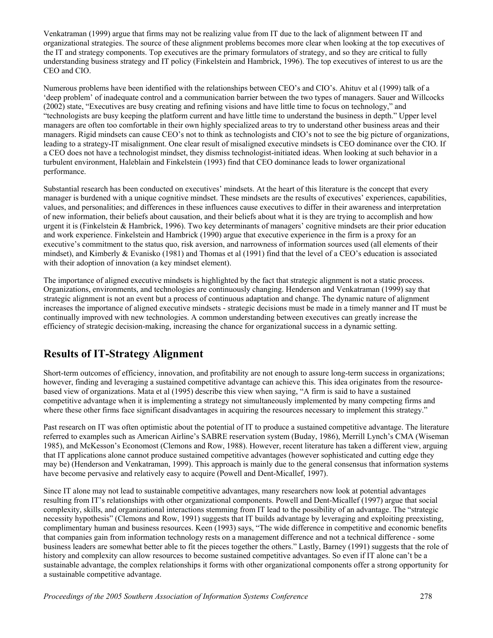Venkatraman (1999) argue that firms may not be realizing value from IT due to the lack of alignment between IT and organizational strategies. The source of these alignment problems becomes more clear when looking at the top executives of the IT and strategy components. Top executives are the primary formulators of strategy, and so they are critical to fully understanding business strategy and IT policy (Finkelstein and Hambrick, 1996). The top executives of interest to us are the CEO and CIO.

Numerous problems have been identified with the relationships between CEO's and CIO's. Ahituv et al (1999) talk of a 'deep problem' of inadequate control and a communication barrier between the two types of managers. Sauer and Willcocks (2002) state, "Executives are busy creating and refining visions and have little time to focus on technology," and "technologists are busy keeping the platform current and have little time to understand the business in depth." Upper level managers are often too comfortable in their own highly specialized areas to try to understand other business areas and their managers. Rigid mindsets can cause CEO's not to think as technologists and CIO's not to see the big picture of organizations, leading to a strategy-IT misalignment. One clear result of misaligned executive mindsets is CEO dominance over the CIO. If a CEO does not have a technologist mindset, they dismiss technologist-initiated ideas. When looking at such behavior in a turbulent environment, Haleblain and Finkelstein (1993) find that CEO dominance leads to lower organizational performance.

Substantial research has been conducted on executives' mindsets. At the heart of this literature is the concept that every manager is burdened with a unique cognitive mindset. These mindsets are the results of executives' experiences, capabilities, values, and personalities; and differences in these influences cause executives to differ in their awareness and interpretation of new information, their beliefs about causation, and their beliefs about what it is they are trying to accomplish and how urgent it is (Finkelstein & Hambrick, 1996). Two key determinants of managers' cognitive mindsets are their prior education and work experience. Finkelstein and Hambrick (1990) argue that executive experience in the firm is a proxy for an executive's commitment to the status quo, risk aversion, and narrowness of information sources used (all elements of their mindset), and Kimberly & Evanisko (1981) and Thomas et al (1991) find that the level of a CEO's education is associated with their adoption of innovation (a key mindset element).

The importance of aligned executive mindsets is highlighted by the fact that strategic alignment is not a static process. Organizations, environments, and technologies are continuously changing. Henderson and Venkatraman (1999) say that strategic alignment is not an event but a process of continuous adaptation and change. The dynamic nature of alignment increases the importance of aligned executive mindsets - strategic decisions must be made in a timely manner and IT must be continually improved with new technologies. A common understanding between executives can greatly increase the efficiency of strategic decision-making, increasing the chance for organizational success in a dynamic setting.

### **Results of IT-Strategy Alignment**

Short-term outcomes of efficiency, innovation, and profitability are not enough to assure long-term success in organizations; however, finding and leveraging a sustained competitive advantage can achieve this. This idea originates from the resourcebased view of organizations. Mata et al (1995) describe this view when saying, "A firm is said to have a sustained competitive advantage when it is implementing a strategy not simultaneously implemented by many competing firms and where these other firms face significant disadvantages in acquiring the resources necessary to implement this strategy."

Past research on IT was often optimistic about the potential of IT to produce a sustained competitive advantage. The literature referred to examples such as American Airline's SABRE reservation system (Buday, 1986), Merrill Lynch's CMA (Wiseman 1985), and McKesson's Economost (Clemons and Row, 1988). However, recent literature has taken a different view, arguing that IT applications alone cannot produce sustained competitive advantages (however sophisticated and cutting edge they may be) (Henderson and Venkatraman, 1999). This approach is mainly due to the general consensus that information systems have become pervasive and relatively easy to acquire (Powell and Dent-Micallef, 1997).

Since IT alone may not lead to sustainable competitive advantages, many researchers now look at potential advantages resulting from IT's relationships with other organizational components. Powell and Dent-Micallef (1997) argue that social complexity, skills, and organizational interactions stemming from IT lead to the possibility of an advantage. The "strategic necessity hypothesis" (Clemons and Row, 1991) suggests that IT builds advantage by leveraging and exploiting preexisting, complimentary human and business resources. Keen (1993) says, "The wide difference in competitive and economic benefits that companies gain from information technology rests on a management difference and not a technical difference - some business leaders are somewhat better able to fit the pieces together the others." Lastly, Barney (1991) suggests that the role of history and complexity can allow resources to become sustained competitive advantages. So even if IT alone can't be a sustainable advantage, the complex relationships it forms with other organizational components offer a strong opportunity for a sustainable competitive advantage.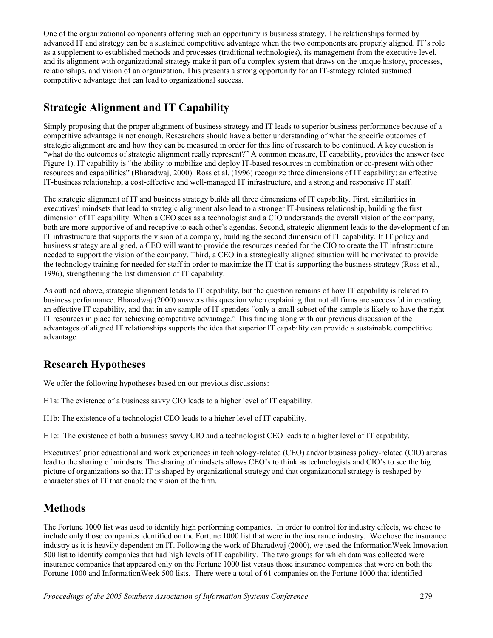One of the organizational components offering such an opportunity is business strategy. The relationships formed by advanced IT and strategy can be a sustained competitive advantage when the two components are properly aligned. IT's role as a supplement to established methods and processes (traditional technologies), its management from the executive level, and its alignment with organizational strategy make it part of a complex system that draws on the unique history, processes, relationships, and vision of an organization. This presents a strong opportunity for an IT-strategy related sustained competitive advantage that can lead to organizational success.

## **Strategic Alignment and IT Capability**

Simply proposing that the proper alignment of business strategy and IT leads to superior business performance because of a competitive advantage is not enough. Researchers should have a better understanding of what the specific outcomes of strategic alignment are and how they can be measured in order for this line of research to be continued. A key question is "what do the outcomes of strategic alignment really represent?" A common measure, IT capability, provides the answer (see Figure 1). IT capability is "the ability to mobilize and deploy IT-based resources in combination or co-present with other resources and capabilities" (Bharadwaj, 2000). Ross et al. (1996) recognize three dimensions of IT capability: an effective IT-business relationship, a cost-effective and well-managed IT infrastructure, and a strong and responsive IT staff.

The strategic alignment of IT and business strategy builds all three dimensions of IT capability. First, similarities in executives' mindsets that lead to strategic alignment also lead to a stronger IT-business relationship, building the first dimension of IT capability. When a CEO sees as a technologist and a CIO understands the overall vision of the company, both are more supportive of and receptive to each other's agendas. Second, strategic alignment leads to the development of an IT infrastructure that supports the vision of a company, building the second dimension of IT capability. If IT policy and business strategy are aligned, a CEO will want to provide the resources needed for the CIO to create the IT infrastructure needed to support the vision of the company. Third, a CEO in a strategically aligned situation will be motivated to provide the technology training for needed for staff in order to maximize the IT that is supporting the business strategy (Ross et al., 1996), strengthening the last dimension of IT capability.

As outlined above, strategic alignment leads to IT capability, but the question remains of how IT capability is related to business performance. Bharadwaj (2000) answers this question when explaining that not all firms are successful in creating an effective IT capability, and that in any sample of IT spenders "only a small subset of the sample is likely to have the right IT resources in place for achieving competitive advantage." This finding along with our previous discussion of the advantages of aligned IT relationships supports the idea that superior IT capability can provide a sustainable competitive advantage.

### **Research Hypotheses**

We offer the following hypotheses based on our previous discussions:

- H1a: The existence of a business savvy CIO leads to a higher level of IT capability.
- H1b: The existence of a technologist CEO leads to a higher level of IT capability.

H1c: The existence of both a business savvy CIO and a technologist CEO leads to a higher level of IT capability.

Executives' prior educational and work experiences in technology-related (CEO) and/or business policy-related (CIO) arenas lead to the sharing of mindsets. The sharing of mindsets allows CEO's to think as technologists and CIO's to see the big picture of organizations so that IT is shaped by organizational strategy and that organizational strategy is reshaped by characteristics of IT that enable the vision of the firm.

#### **Methods**

The Fortune 1000 list was used to identify high performing companies. In order to control for industry effects, we chose to include only those companies identified on the Fortune 1000 list that were in the insurance industry. We chose the insurance industry as it is heavily dependent on IT. Following the work of Bharadwaj (2000), we used the InformationWeek Innovation 500 list to identify companies that had high levels of IT capability. The two groups for which data was collected were insurance companies that appeared only on the Fortune 1000 list versus those insurance companies that were on both the Fortune 1000 and InformationWeek 500 lists. There were a total of 61 companies on the Fortune 1000 that identified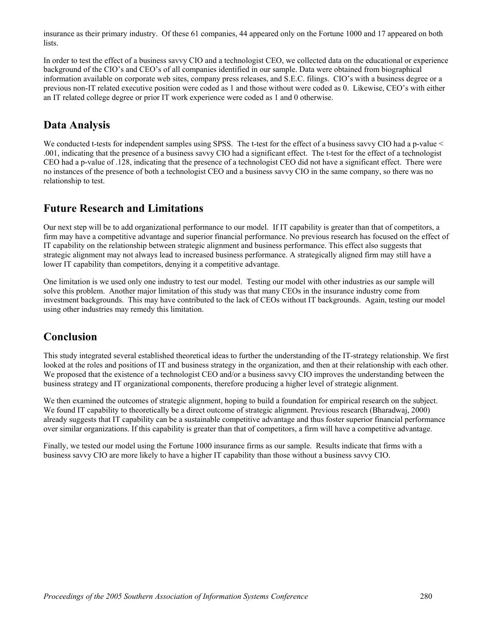insurance as their primary industry. Of these 61 companies, 44 appeared only on the Fortune 1000 and 17 appeared on both lists.

In order to test the effect of a business savvy CIO and a technologist CEO, we collected data on the educational or experience background of the CIO's and CEO's of all companies identified in our sample. Data were obtained from biographical information available on corporate web sites, company press releases, and S.E.C. filings. CIO's with a business degree or a previous non-IT related executive position were coded as 1 and those without were coded as 0. Likewise, CEO's with either an IT related college degree or prior IT work experience were coded as 1 and 0 otherwise.

#### **Data Analysis**

We conducted t-tests for independent samples using SPSS. The t-test for the effect of a business savvy CIO had a p-value < .001, indicating that the presence of a business savvy CIO had a significant effect. The t-test for the effect of a technologist CEO had a p-value of .128, indicating that the presence of a technologist CEO did not have a significant effect. There were no instances of the presence of both a technologist CEO and a business savvy CIO in the same company, so there was no relationship to test.

#### **Future Research and Limitations**

Our next step will be to add organizational performance to our model. If IT capability is greater than that of competitors, a firm may have a competitive advantage and superior financial performance. No previous research has focused on the effect of IT capability on the relationship between strategic alignment and business performance. This effect also suggests that strategic alignment may not always lead to increased business performance. A strategically aligned firm may still have a lower IT capability than competitors, denying it a competitive advantage.

One limitation is we used only one industry to test our model. Testing our model with other industries as our sample will solve this problem. Another major limitation of this study was that many CEOs in the insurance industry come from investment backgrounds. This may have contributed to the lack of CEOs without IT backgrounds. Again, testing our model using other industries may remedy this limitation.

#### **Conclusion**

This study integrated several established theoretical ideas to further the understanding of the IT-strategy relationship. We first looked at the roles and positions of IT and business strategy in the organization, and then at their relationship with each other. We proposed that the existence of a technologist CEO and/or a business say V CIO improves the understanding between the business strategy and IT organizational components, therefore producing a higher level of strategic alignment.

We then examined the outcomes of strategic alignment, hoping to build a foundation for empirical research on the subject. We found IT capability to theoretically be a direct outcome of strategic alignment. Previous research (Bharadwaj, 2000) already suggests that IT capability can be a sustainable competitive advantage and thus foster superior financial performance over similar organizations. If this capability is greater than that of competitors, a firm will have a competitive advantage.

Finally, we tested our model using the Fortune 1000 insurance firms as our sample. Results indicate that firms with a business savvy CIO are more likely to have a higher IT capability than those without a business savvy CIO.